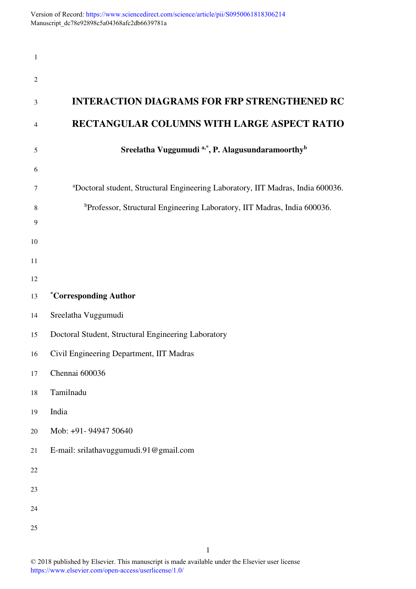| $\mathbf{1}$   |                                                                                             |
|----------------|---------------------------------------------------------------------------------------------|
| $\overline{c}$ |                                                                                             |
| 3              | <b>INTERACTION DIAGRAMS FOR FRP STRENGTHENED RC</b>                                         |
| 4              | RECTANGULAR COLUMNS WITH LARGE ASPECT RATIO                                                 |
| 5              | Sreelatha Vuggumudi <sup>a,*</sup> , P. Alagusundaramoorthy <sup>b</sup>                    |
| 6              |                                                                                             |
| 7              | <sup>a</sup> Doctoral student, Structural Engineering Laboratory, IIT Madras, India 600036. |
| 8              | <sup>b</sup> Professor, Structural Engineering Laboratory, IIT Madras, India 600036.        |
| 9              |                                                                                             |
| 10             |                                                                                             |
| 11             |                                                                                             |
| 12             |                                                                                             |
| 13             | <i>*Corresponding Author</i>                                                                |
| 14             | Sreelatha Vuggumudi                                                                         |
| 15             | Doctoral Student, Structural Engineering Laboratory                                         |
| 16             | Civil Engineering Department, IIT Madras                                                    |
| 17             | Chennai 600036                                                                              |
| 18             | Tamilnadu                                                                                   |
| 19             | India                                                                                       |
| 20             | Mob: +91- 94947 50640                                                                       |
| 21             | E-mail: srilathavuggumudi.91@gmail.com                                                      |
| 22             |                                                                                             |
| 23             |                                                                                             |
| 24             |                                                                                             |
| 25             |                                                                                             |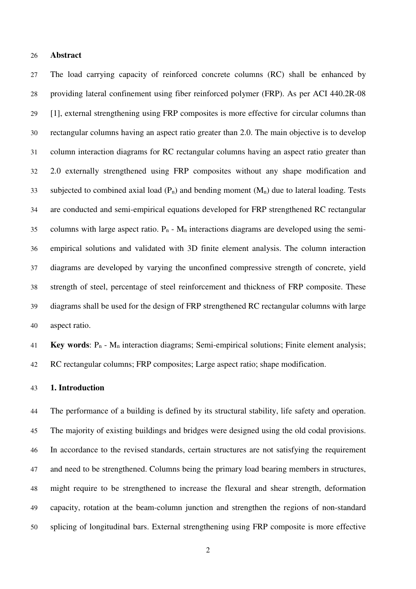### **Abstract**

The load carrying capacity of reinforced concrete columns (RC) shall be enhanced by providing lateral confinement using fiber reinforced polymer (FRP). As per ACI 440.2R-08 [1], external strengthening using FRP composites is more effective for circular columns than rectangular columns having an aspect ratio greater than 2.0. The main objective is to develop column interaction diagrams for RC rectangular columns having an aspect ratio greater than 2.0 externally strengthened using FRP composites without any shape modification and 33 subjected to combined axial load  $(P_n)$  and bending moment  $(M_n)$  due to lateral loading. Tests are conducted and semi-empirical equations developed for FRP strengthened RC rectangular 35 columns with large aspect ratio.  $P_n - M_n$  interactions diagrams are developed using the semi-empirical solutions and validated with 3D finite element analysis. The column interaction diagrams are developed by varying the unconfined compressive strength of concrete, yield strength of steel, percentage of steel reinforcement and thickness of FRP composite. These diagrams shall be used for the design of FRP strengthened RC rectangular columns with large aspect ratio.

**Key words**: Pn - Mn interaction diagrams; Semi-empirical solutions; Finite element analysis; RC rectangular columns; FRP composites; Large aspect ratio; shape modification.

# **1. Introduction**

The performance of a building is defined by its structural stability, life safety and operation. The majority of existing buildings and bridges were designed using the old codal provisions. In accordance to the revised standards, certain structures are not satisfying the requirement and need to be strengthened. Columns being the primary load bearing members in structures, might require to be strengthened to increase the flexural and shear strength, deformation capacity, rotation at the beam-column junction and strengthen the regions of non-standard splicing of longitudinal bars. External strengthening using FRP composite is more effective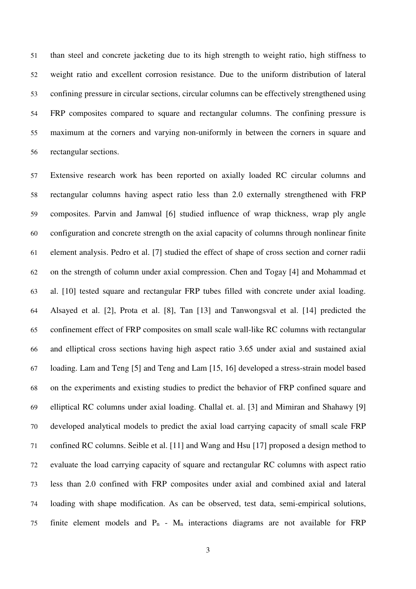than steel and concrete jacketing due to its high strength to weight ratio, high stiffness to weight ratio and excellent corrosion resistance. Due to the uniform distribution of lateral confining pressure in circular sections, circular columns can be effectively strengthened using FRP composites compared to square and rectangular columns. The confining pressure is maximum at the corners and varying non-uniformly in between the corners in square and rectangular sections.

Extensive research work has been reported on axially loaded RC circular columns and rectangular columns having aspect ratio less than 2.0 externally strengthened with FRP composites. Parvin and Jamwal [6] studied influence of wrap thickness, wrap ply angle configuration and concrete strength on the axial capacity of columns through nonlinear finite element analysis. Pedro et al. [7] studied the effect of shape of cross section and corner radii on the strength of column under axial compression. Chen and Togay [4] and Mohammad et al. [10] tested square and rectangular FRP tubes filled with concrete under axial loading. Alsayed et al. [2], Prota et al. [8], Tan [13] and Tanwongsval et al. [14] predicted the confinement effect of FRP composites on small scale wall-like RC columns with rectangular and elliptical cross sections having high aspect ratio 3.65 under axial and sustained axial loading. Lam and Teng [5] and Teng and Lam [15, 16] developed a stress-strain model based on the experiments and existing studies to predict the behavior of FRP confined square and elliptical RC columns under axial loading. Challal et. al. [3] and Mimiran and Shahawy [9] developed analytical models to predict the axial load carrying capacity of small scale FRP confined RC columns. Seible et al. [11] and Wang and Hsu [17] proposed a design method to evaluate the load carrying capacity of square and rectangular RC columns with aspect ratio less than 2.0 confined with FRP composites under axial and combined axial and lateral loading with shape modification. As can be observed, test data, semi-empirical solutions, 75 finite element models and  $P_n$  -  $M_n$  interactions diagrams are not available for FRP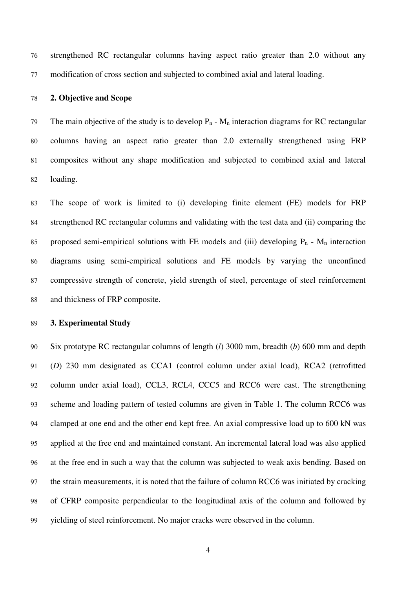strengthened RC rectangular columns having aspect ratio greater than 2.0 without any modification of cross section and subjected to combined axial and lateral loading.

### **2. Objective and Scope**

79 The main objective of the study is to develop  $P_n - M_n$  interaction diagrams for RC rectangular columns having an aspect ratio greater than 2.0 externally strengthened using FRP composites without any shape modification and subjected to combined axial and lateral loading.

The scope of work is limited to (i) developing finite element (FE) models for FRP strengthened RC rectangular columns and validating with the test data and (ii) comparing the 85 proposed semi-empirical solutions with FE models and (iii) developing  $P_n$  -  $M_n$  interaction diagrams using semi-empirical solutions and FE models by varying the unconfined compressive strength of concrete, yield strength of steel, percentage of steel reinforcement and thickness of FRP composite.

# **3. Experimental Study**

Six prototype RC rectangular columns of length (*l*) 3000 mm, breadth (*b*) 600 mm and depth (*D*) 230 mm designated as CCA1 (control column under axial load), RCA2 (retrofitted column under axial load), CCL3, RCL4, CCC5 and RCC6 were cast. The strengthening scheme and loading pattern of tested columns are given in Table 1. The column RCC6 was clamped at one end and the other end kept free. An axial compressive load up to 600 kN was applied at the free end and maintained constant. An incremental lateral load was also applied at the free end in such a way that the column was subjected to weak axis bending. Based on the strain measurements, it is noted that the failure of column RCC6 was initiated by cracking of CFRP composite perpendicular to the longitudinal axis of the column and followed by yielding of steel reinforcement. No major cracks were observed in the column.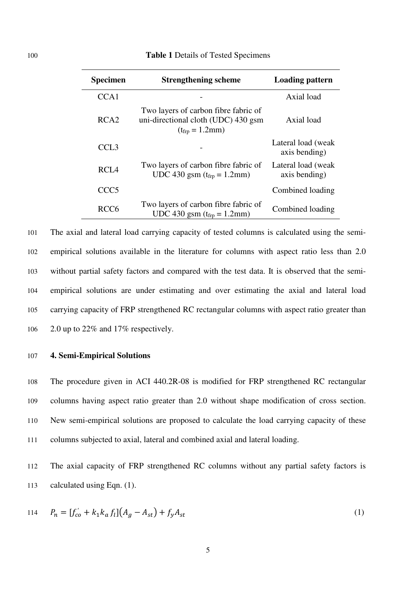### 100 **Table 1** Details of Tested Specimens

| <b>Specimen</b>  | <b>Strengthening scheme</b>                                                                                  | <b>Loading pattern</b>              |
|------------------|--------------------------------------------------------------------------------------------------------------|-------------------------------------|
| CCA1             |                                                                                                              | Axial load                          |
| RCA <sub>2</sub> | Two layers of carbon fibre fabric of<br>uni-directional cloth (UDC) 430 gsm<br>$(t_{\rm frp} = 1.2 \rm{mm})$ | Axial load                          |
| CCL <sub>3</sub> |                                                                                                              | Lateral load (weak<br>axis bending) |
| RCL <sub>4</sub> | Two layers of carbon fibre fabric of<br>UDC 430 gsm ( $t_{frp} = 1.2$ mm)                                    | Lateral load (weak<br>axis bending) |
| CCC <sub>5</sub> |                                                                                                              | Combined loading                    |
| RCC <sub>6</sub> | Two layers of carbon fibre fabric of<br>UDC 430 gsm $(t_{frp} = 1.2$ mm)                                     | Combined loading                    |

The axial and lateral load carrying capacity of tested columns is calculated using the semi-empirical solutions available in the literature for columns with aspect ratio less than 2.0 without partial safety factors and compared with the test data. It is observed that the semi-empirical solutions are under estimating and over estimating the axial and lateral load carrying capacity of FRP strengthened RC rectangular columns with aspect ratio greater than 2.0 up to 22% and 17% respectively.

# 107 **4. Semi-Empirical Solutions**

The procedure given in ACI 440.2R-08 is modified for FRP strengthened RC rectangular columns having aspect ratio greater than 2.0 without shape modification of cross section. New semi-empirical solutions are proposed to calculate the load carrying capacity of these columns subjected to axial, lateral and combined axial and lateral loading.

112 The axial capacity of FRP strengthened RC columns without any partial safety factors is 113 calculated using Eqn. (1).

114 
$$
P_n = [f'_{co} + k_1 k_a f_l](A_g - A_{st}) + f_y A_{st}
$$
 (1)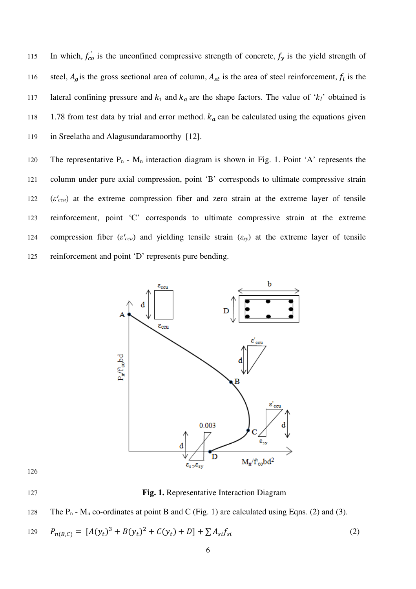115 In which,  $f'_{co}$  is the unconfined compressive strength of concrete,  $f_y$  is the yield strength of 116 steel,  $A_g$  is the gross sectional area of column,  $A_{st}$  is the area of steel reinforcement,  $f_l$  is the 117 lateral confining pressure and  $k_1$  and  $k_a$  are the shape factors. The value of ' $k_1$ ' obtained is 118 1.78 from test data by trial and error method.  $k_a$  can be calculated using the equations given 119 in Sreelatha and Alagusundaramoorthy [12].

120 The representative  $P_n$  -  $M_n$  interaction diagram is shown in Fig. 1. Point 'A' represents the 121 column under pure axial compression, point 'B' corresponds to ultimate compressive strain 122 (*ε'ccu*) at the extreme compression fiber and zero strain at the extreme layer of tensile 123 reinforcement, point 'C' corresponds to ultimate compressive strain at the extreme 124 compression fiber  $(\varepsilon'_{ccu})$  and yielding tensile strain  $(\varepsilon_{sy})$  at the extreme layer of tensile 125 reinforcement and point 'D' represents pure bending.



127 **Fig. 1.** Representative Interaction Diagram



129 
$$
P_{n(B,C)} = [A(y_t)^3 + B(y_t)^2 + C(y_t) + D] + \sum A_{si} f_{si}
$$
 (2)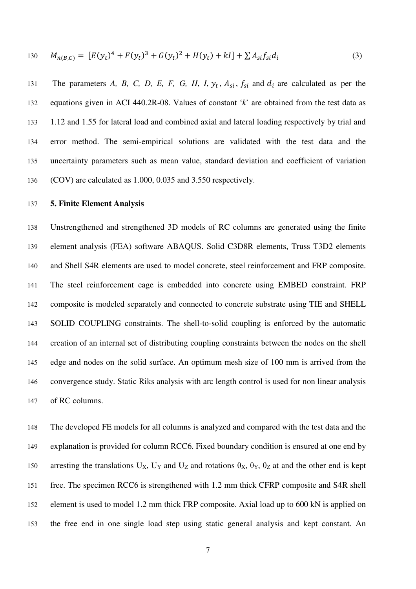130 
$$
M_{n(B,C)} = [E(y_t)^4 + F(y_t)^3 + G(y_t)^2 + H(y_t) + kl] + \sum A_{si} f_{si} d_i
$$
 (3)

131 The parameters *A*, *B*, *C*, *D*, *E*, *F*, *G*, *H*, *I*,  $y_t$ ,  $A_{si}$ ,  $f_{si}$  and  $d_i$  are calculated as per the equations given in ACI 440.2R-08. Values of constant '*k*' are obtained from the test data as 1.12 and 1.55 for lateral load and combined axial and lateral loading respectively by trial and error method. The semi-empirical solutions are validated with the test data and the uncertainty parameters such as mean value, standard deviation and coefficient of variation (COV) are calculated as 1.000, 0.035 and 3.550 respectively.

### **5. Finite Element Analysis**

Unstrengthened and strengthened 3D models of RC columns are generated using the finite element analysis (FEA) software ABAQUS. Solid C3D8R elements, Truss T3D2 elements and Shell S4R elements are used to model concrete, steel reinforcement and FRP composite. The steel reinforcement cage is embedded into concrete using EMBED constraint. FRP composite is modeled separately and connected to concrete substrate using TIE and SHELL SOLID COUPLING constraints. The shell-to-solid coupling is enforced by the automatic creation of an internal set of distributing coupling constraints between the nodes on the shell edge and nodes on the solid surface. An optimum mesh size of 100 mm is arrived from the convergence study. Static Riks analysis with arc length control is used for non linear analysis of RC columns.

The developed FE models for all columns is analyzed and compared with the test data and the explanation is provided for column RCC6. Fixed boundary condition is ensured at one end by 150 arresting the translations  $U_X$ ,  $U_Y$  and  $U_Z$  and rotations  $\theta_X$ ,  $\theta_Y$ ,  $\theta_Z$  at and the other end is kept free. The specimen RCC6 is strengthened with 1.2 mm thick CFRP composite and S4R shell element is used to model 1.2 mm thick FRP composite. Axial load up to 600 kN is applied on the free end in one single load step using static general analysis and kept constant. An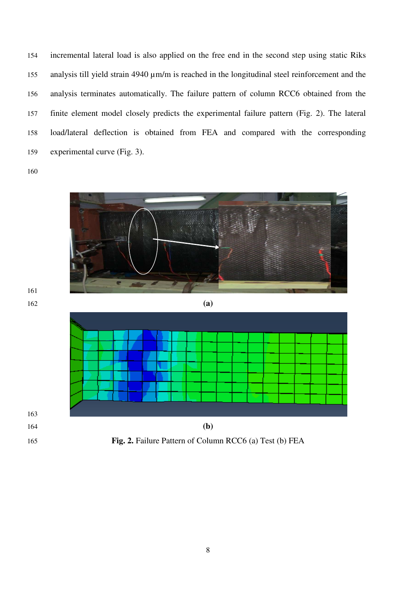incremental lateral load is also applied on the free end in the second step using static Riks 155 analysis till yield strain 4940  $\mu$ m/m is reached in the longitudinal steel reinforcement and the analysis terminates automatically. The failure pattern of column RCC6 obtained from the finite element model closely predicts the experimental failure pattern (Fig. 2). The lateral load/lateral deflection is obtained from FEA and compared with the corresponding experimental curve (Fig. 3).

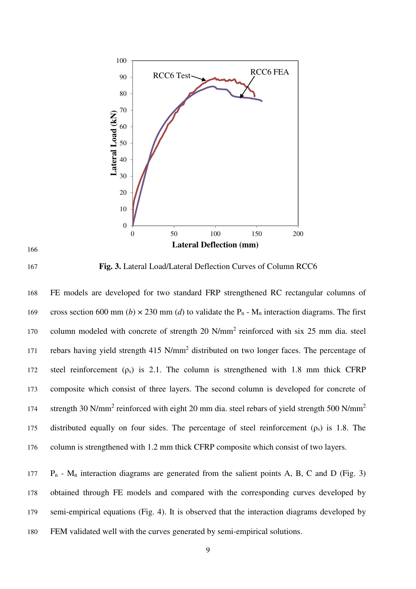





**Fig. 3.** Lateral Load/Lateral Deflection Curves of Column RCC6

FE models are developed for two standard FRP strengthened RC rectangular columns of 169 cross section 600 mm (*b*)  $\times$  230 mm (*d*) to validate the P<sub>n</sub> - M<sub>n</sub> interaction diagrams. The first 170 column modeled with concrete of strength 20 N/mm<sup>2</sup> reinforced with six 25 mm dia. steel 171 rebars having yield strength 415 N/mm<sup>2</sup> distributed on two longer faces. The percentage of 172 steel reinforcement  $(\rho_s)$  is 2.1. The column is strengthened with 1.8 mm thick CFRP composite which consist of three layers. The second column is developed for concrete of strength 30 N/mm<sup>2</sup> reinforced with eight 20 mm dia. steel rebars of yield strength 500 N/mm<sup>2</sup> 175 distributed equally on four sides. The percentage of steel reinforcement  $(\rho_s)$  is 1.8. The column is strengthened with 1.2 mm thick CFRP composite which consist of two layers.

 $P_n$  - M<sub>n</sub> interaction diagrams are generated from the salient points A, B, C and D (Fig. 3) obtained through FE models and compared with the corresponding curves developed by semi-empirical equations (Fig. 4). It is observed that the interaction diagrams developed by FEM validated well with the curves generated by semi-empirical solutions.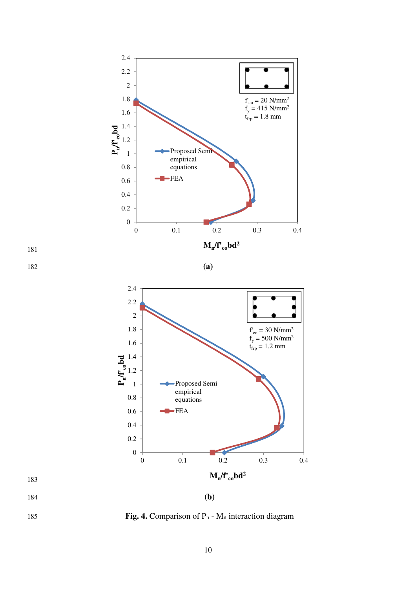



183



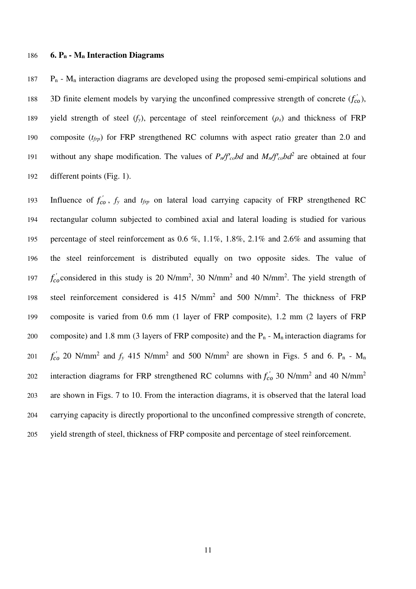#### **6. Pn - Mn Interaction Diagrams**

 P<sub>n</sub> - M<sub>n</sub> interaction diagrams are developed using the proposed semi-empirical solutions and 188 3D finite element models by varying the unconfined compressive strength of concrete  $(f'_{co})$ , yield strength of steel (*fy*), percentage of steel reinforcement (*ρs*) and thickness of FRP composite (*tfrp*) for FRP strengthened RC columns with aspect ratio greater than 2.0 and 191 without any shape modification. The values of  $P_n/f_{\text{co}}bd$  and  $M_n/f_{\text{co}}bd^2$  are obtained at four different points (Fig. 1).

193 Influence of  $f'_{co}$ ,  $f_y$  and  $t_{frp}$  on lateral load carrying capacity of FRP strengthened RC rectangular column subjected to combined axial and lateral loading is studied for various percentage of steel reinforcement as 0.6 %, 1.1%, 1.8%, 2.1% and 2.6% and assuming that the steel reinforcement is distributed equally on two opposite sides. The value of  $f'_{co}$  considered in this study is 20 N/mm<sup>2</sup>, 30 N/mm<sup>2</sup> and 40 N/mm<sup>2</sup>. The yield strength of 198 steel reinforcement considered is 415 N/mm<sup>2</sup> and 500 N/mm<sup>2</sup>. The thickness of FRP composite is varied from 0.6 mm (1 layer of FRP composite), 1.2 mm (2 layers of FRP 200 composite) and 1.8 mm (3 layers of FRP composite) and the  $P_n$  - M<sub>n</sub> interaction diagrams for  $f'_{co}$  20 N/mm<sup>2</sup> and  $f_y$  415 N/mm<sup>2</sup> and 500 N/mm<sup>2</sup> are shown in Figs. 5 and 6. P<sub>n</sub> - M<sub>n</sub> interaction diagrams for FRP strengthened RC columns with  $f'_{c0}$  30 N/mm<sup>2</sup> and 40 N/mm<sup>2</sup> are shown in Figs. 7 to 10. From the interaction diagrams, it is observed that the lateral load carrying capacity is directly proportional to the unconfined compressive strength of concrete, yield strength of steel, thickness of FRP composite and percentage of steel reinforcement.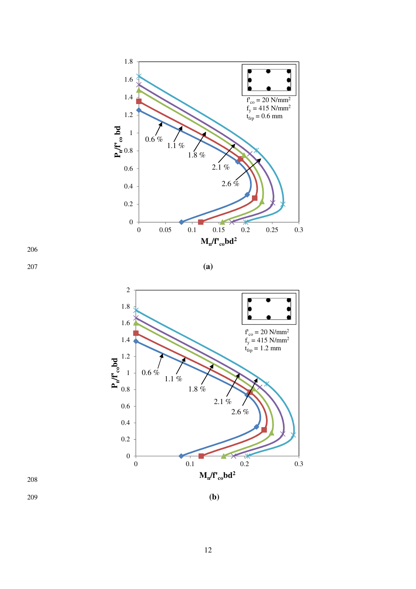



208

209 **(b)**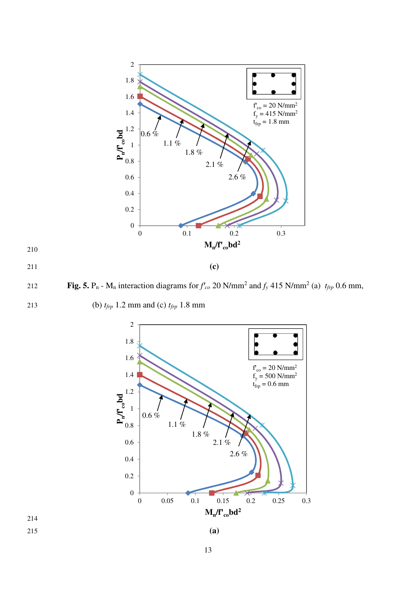

 **Fig. 5.** P<sub>n</sub> - M<sub>n</sub> interaction diagrams for  $f'_{co}$  20 N/mm<sup>2</sup> and  $f_y$  415 N/mm<sup>2</sup> (a)  $t_{frp}$  0.6 mm,



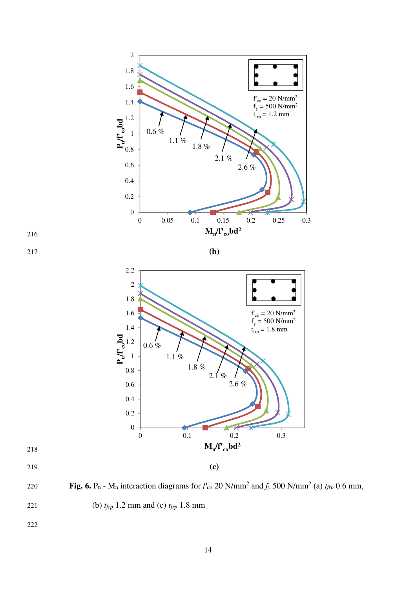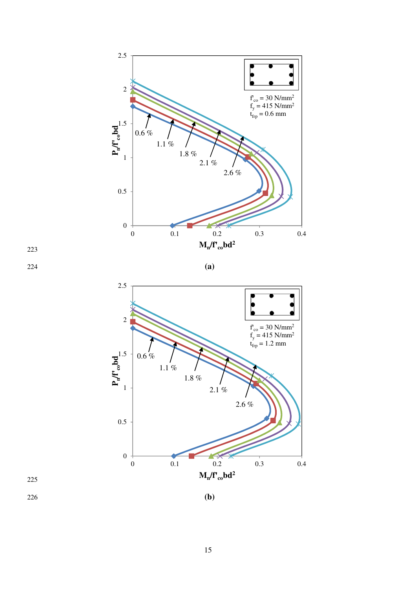



225

226 **(b)**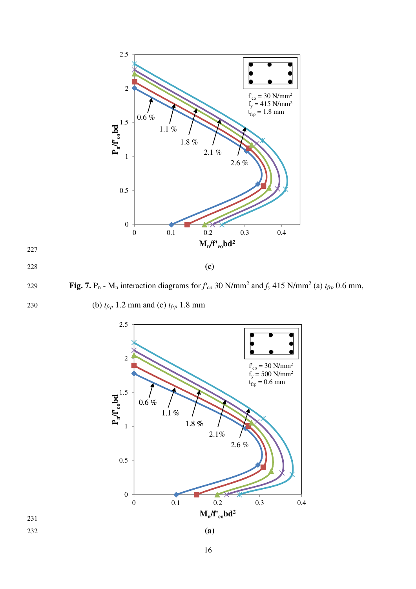

227

 **Fig. 7.** P<sub>n</sub> - M<sub>n</sub> interaction diagrams for  $f'_{co}$  30 N/mm<sup>2</sup> and  $f_y$  415 N/mm<sup>2</sup> (a)  $t_{frp}$  0.6 mm,



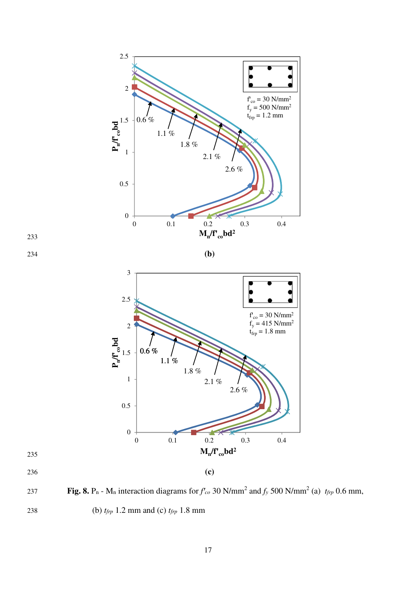





- 235
- 

 **Fig. 8.** P<sub>n</sub> - M<sub>n</sub> interaction diagrams for  $f'_{co}$  30 N/mm<sup>2</sup> and  $f_y$  500 N/mm<sup>2</sup> (a)  $t_{frp}$  0.6 mm, 238 (b) *tfrp* 1.2 mm and (c) *tfrp* 1.8 mm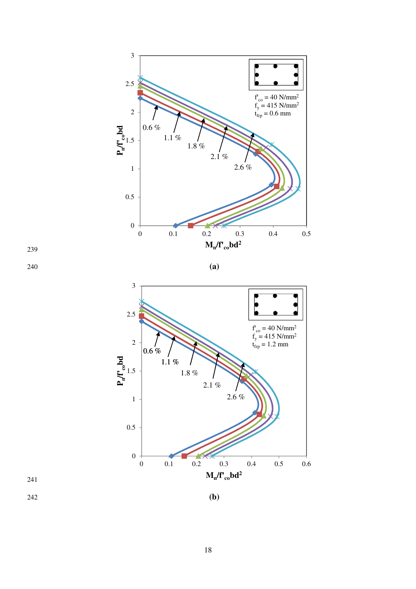



240 **(a)** 





242 **(b)**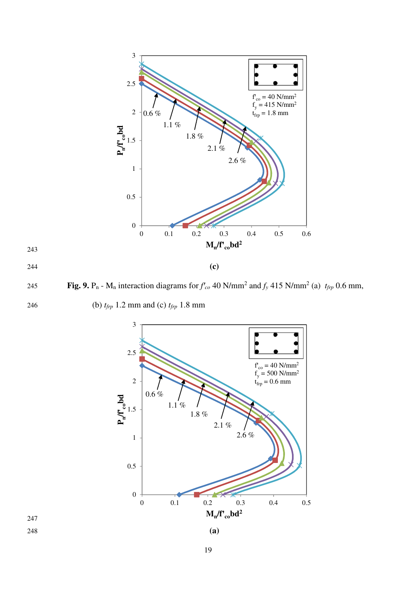

245 **Fig. 9.** P<sub>n</sub> - M<sub>n</sub> interaction diagrams for  $f'_{co}$  40 N/mm<sup>2</sup> and  $f_y$  415 N/mm<sup>2</sup> (a)  $t_{frp}$  0.6 mm,

246 (b) *tfrp* 1.2 mm and (c) *tfrp* 1.8 mm



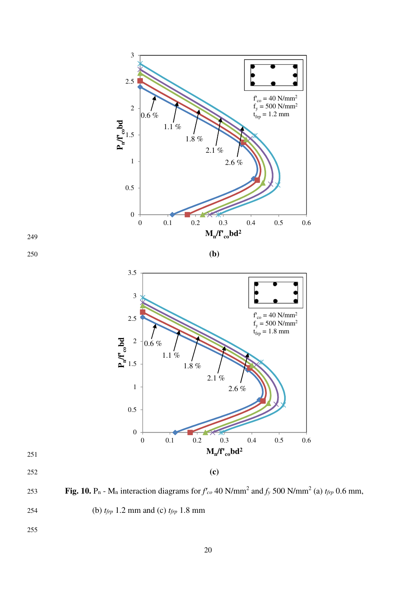







- 251
- 

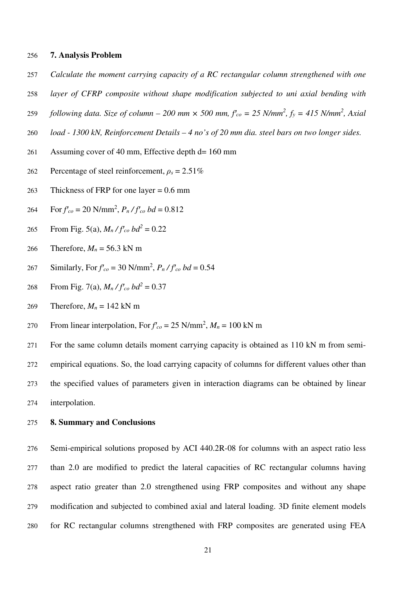#### **7. Analysis Problem**

- *Calculate the moment carrying capacity of a RC rectangular column strengthened with one*
- *layer of CFRP composite without shape modification subjected to uni axial bending with*
- 259 *following data. Size of column 200 mm*  $\times$  *500 mm,*  $f_{co}$  *= 25 N/mm<sup>2</sup>,*  $f_{y}$  *= 415 N/mm<sup>2</sup>, Axial*
- *load 1300 kN, Reinforcement Details 4 no's of 20 mm dia. steel bars on two longer sides.*
- Assuming cover of 40 mm, Effective depth d= 160 mm
- Percentage of steel reinforcement, *ρs* = 2.51%
- Thickness of FRP for one layer = 0.6 mm
- For  $f'_{co} = 20 \text{ N/mm}^2$ ,  $P_n / f'_{co} bd = 0.812$
- From Fig. 5(a),  $M_n / f_{co}^r$  *bd*<sup>2</sup> = 0.22
- 266 Therefore,  $M_n = 56.3$  kN m
- Similarly, For  $f'_{co} = 30 \text{ N/mm}^2$ ,  $P_n / f'_{co} bd = 0.54$
- From Fig. 7(a),  $M_n/f_{co}^r$  *bd*<sup>2</sup> = 0.37
- 269 Therefore,  $M_n = 142$  kN m
- From linear interpolation, For  $f'_{co} = 25$  N/mm<sup>2</sup>,  $M_n = 100$  kN m
- For the same column details moment carrying capacity is obtained as 110 kN m from semi-empirical equations. So, the load carrying capacity of columns for different values other than the specified values of parameters given in interaction diagrams can be obtained by linear interpolation.

#### **8. Summary and Conclusions**

Semi-empirical solutions proposed by ACI 440.2R-08 for columns with an aspect ratio less than 2.0 are modified to predict the lateral capacities of RC rectangular columns having aspect ratio greater than 2.0 strengthened using FRP composites and without any shape modification and subjected to combined axial and lateral loading. 3D finite element models for RC rectangular columns strengthened with FRP composites are generated using FEA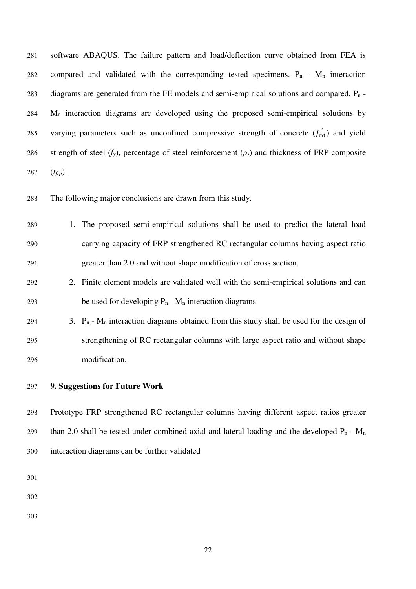software ABAQUS. The failure pattern and load/deflection curve obtained from FEA is 282 compared and validated with the corresponding tested specimens.  $P_n - M_n$  interaction 283 diagrams are generated from the FE models and semi-empirical solutions and compared.  $P_n$ - M<sub>n</sub> interaction diagrams are developed using the proposed semi-empirical solutions by 285 varying parameters such as unconfined compressive strength of concrete  $(f'_{co})$  and yield strength of steel (*fy*), percentage of steel reinforcement (*ρs*) and thickness of FRP composite (*tfrp*).

The following major conclusions are drawn from this study.

- 1. The proposed semi-empirical solutions shall be used to predict the lateral load carrying capacity of FRP strengthened RC rectangular columns having aspect ratio greater than 2.0 and without shape modification of cross section.
- 2. Finite element models are validated well with the semi-empirical solutions and can 293 be used for developing  $P_n - M_n$  interaction diagrams.
- 294 3.  $P_n M_n$  interaction diagrams obtained from this study shall be used for the design of strengthening of RC rectangular columns with large aspect ratio and without shape modification.

### **9. Suggestions for Future Work**

Prototype FRP strengthened RC rectangular columns having different aspect ratios greater 299 than 2.0 shall be tested under combined axial and lateral loading and the developed  $P_n - M_n$ interaction diagrams can be further validated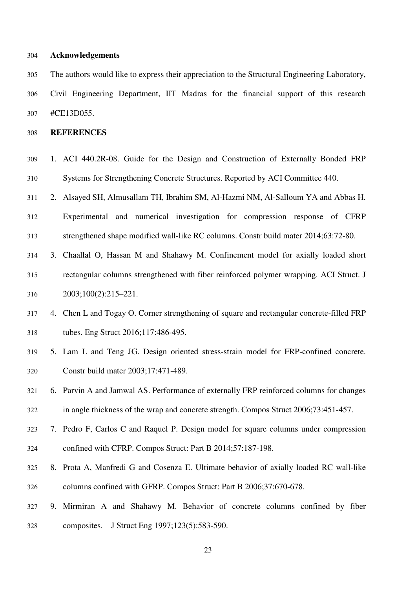### **Acknowledgements**

The authors would like to express their appreciation to the Structural Engineering Laboratory, Civil Engineering Department, IIT Madras for the financial support of this research #CE13D055.

**REFERENCES** 

- 1. ACI 440.2R-08. Guide for the Design and Construction of Externally Bonded FRP Systems for Strengthening Concrete Structures. Reported by ACI Committee 440.
- 2. Alsayed SH, Almusallam TH, Ibrahim SM, Al-Hazmi NM, Al-Salloum YA and Abbas H. Experimental and numerical investigation for compression response of CFRP strengthened shape modified wall-like RC columns. Constr build mater 2014;63:72-80.
- 3. Chaallal O, Hassan M and Shahawy M. Confinement model for axially loaded short rectangular columns strengthened with fiber reinforced polymer wrapping. ACI Struct. J 2003;100(2):215–221.
- 4. Chen L and Togay O. Corner strengthening of square and rectangular concrete-filled FRP tubes. Eng Struct 2016;117:486-495.
- 5. Lam L and Teng JG. Design oriented stress-strain model for FRP-confined concrete. Constr build mater 2003;17:471-489.

6. Parvin A and Jamwal AS. Performance of externally FRP reinforced columns for changes in angle thickness of the wrap and concrete strength. Compos Struct 2006;73:451-457.

- 7. Pedro F, Carlos C and Raquel P. Design model for square columns under compression confined with CFRP. Compos Struct: Part B 2014;57:187-198.
- 8. Prota A, Manfredi G and Cosenza E. Ultimate behavior of axially loaded RC wall-like columns confined with GFRP. Compos Struct: Part B 2006;37:670-678.
- 9. Mirmiran A and Shahawy M. Behavior of concrete columns confined by fiber composites. J Struct Eng 1997;123(5):583-590.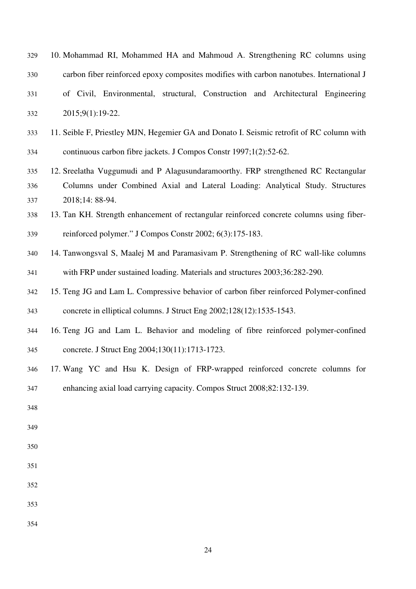| 329 | 10. Mohammad RI, Mohammed HA and Mahmoud A. Strengthening RC columns using                |
|-----|-------------------------------------------------------------------------------------------|
| 330 | carbon fiber reinforced epoxy composites modifies with carbon nanotubes. International J  |
| 331 | of Civil, Environmental, structural, Construction and Architectural Engineering           |
| 332 | 2015;9(1):19-22.                                                                          |
| 333 | 11. Seible F, Priestley MJN, Hegemier GA and Donato I. Seismic retrofit of RC column with |
| 334 | continuous carbon fibre jackets. J Compos Constr 1997;1(2):52-62.                         |
| 335 | 12. Sreelatha Vuggumudi and P Alagusundaramoorthy. FRP strengthened RC Rectangular        |
| 336 | Columns under Combined Axial and Lateral Loading: Analytical Study. Structures            |
| 337 | 2018;14: 88-94.                                                                           |
| 338 | 13. Tan KH. Strength enhancement of rectangular reinforced concrete columns using fiber-  |
| 339 | reinforced polymer." J Compos Constr 2002; 6(3):175-183.                                  |
| 340 | 14. Tanwongsval S, Maalej M and Paramasivam P. Strengthening of RC wall-like columns      |
| 341 | with FRP under sustained loading. Materials and structures 2003;36:282-290.               |
| 342 | 15. Teng JG and Lam L. Compressive behavior of carbon fiber reinforced Polymer-confined   |
| 343 | concrete in elliptical columns. J Struct Eng 2002;128(12):1535-1543.                      |
| 344 | 16. Teng JG and Lam L. Behavior and modeling of fibre reinforced polymer-confined         |
| 345 | concrete. J Struct Eng 2004;130(11):1713-1723.                                            |
| 346 | 17. Wang YC and Hsu K. Design of FRP-wrapped reinforced concrete columns for              |
| 347 | enhancing axial load carrying capacity. Compos Struct 2008;82:132-139.                    |
| 348 |                                                                                           |
| 349 |                                                                                           |
| 350 |                                                                                           |
| 351 |                                                                                           |
| 352 |                                                                                           |
| 353 |                                                                                           |
| 354 |                                                                                           |